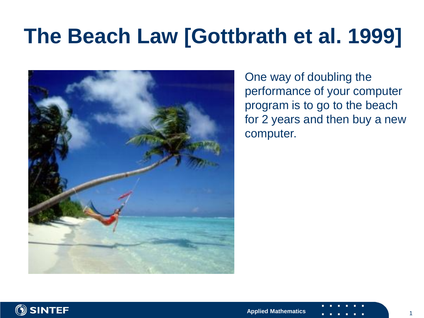# **The Beach Law [Gottbrath et al. 1999]**



One way of doubling the performance of your computer program is to go to the beach for 2 years and then buy a new computer.



1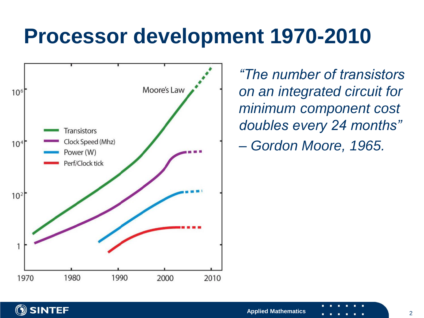### **Processor development 1970-2010**



*"The number of transistors on an integrated circuit for minimum component cost doubles every 24 months" – Gordon Moore, 1965.*

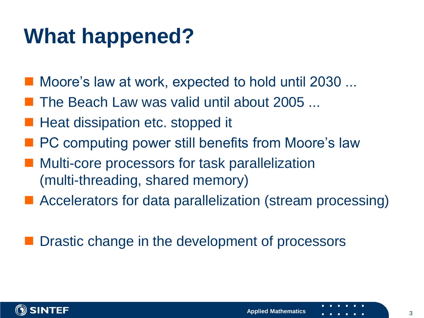# **What happened?**

- Moore's law at work, expected to hold until 2030 ...
- The Beach Law was valid until about 2005 ...
- Heat dissipation etc. stopped it
- PC computing power still benefits from Moore's law
- Multi-core processors for task parallelization (multi-threading, shared memory)
- Accelerators for data parallelization (stream processing)

#### Drastic change in the development of processors

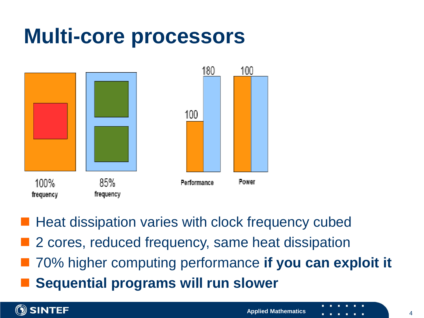### **Multi-core processors**



 Heat dissipation varies with clock frequency cubed 2 cores, reduced frequency, same heat dissipation

- 70% higher computing performance **if you can exploit it**
- **Sequential programs will run slower**

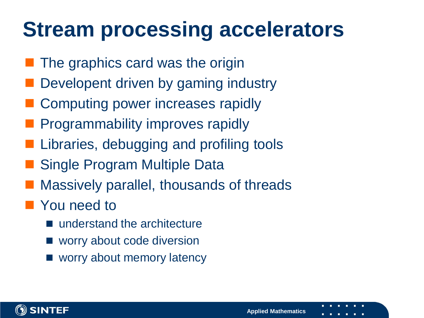# **Stream processing accelerators**

- The graphics card was the origin
- Developent driven by gaming industry
- Computing power increases rapidly
- Programmability improves rapidly
- Libraries, debugging and profiling tools
- Single Program Multiple Data
- Massively parallel, thousands of threads
- **Nou need to** 
	- understand the architecture
	- worry about code diversion
	- worry about memory latency

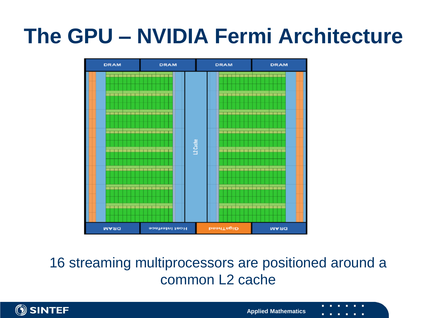# **The GPU – NVIDIA Fermi Architecture**



16 streaming multiprocessors are positioned around a common L2 cache

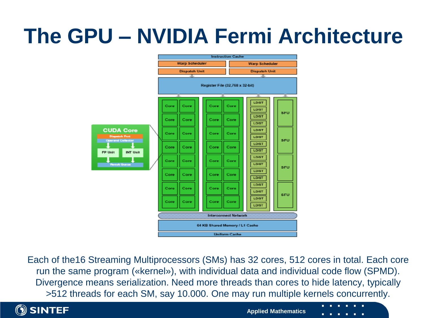# **The GPU – NVIDIA Fermi Architecture**



Each of the16 Streaming Multiprocessors (SMs) has 32 cores, 512 cores in total. Each core run the same program («kernel»), with individual data and individual code flow (SPMD). Divergence means serialization. Need more threads than cores to hide latency, typically >512 threads for each SM, say 10.000. One may run multiple kernels concurrently.



**Applied Mathematics**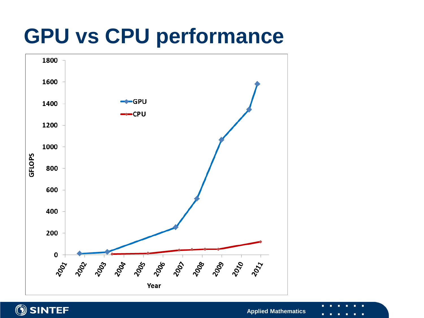# **GPU vs CPU performance**





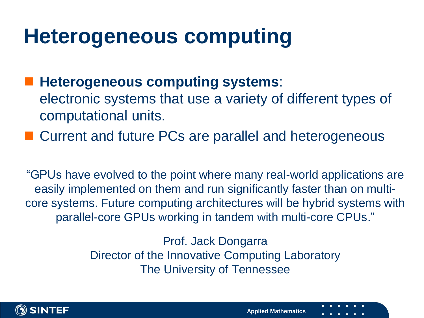#### **Heterogeneous computing**

 **Heterogeneous computing systems**: electronic systems that use a variety of different types of computational units.

■ Current and future PCs are parallel and heterogeneous

"GPUs have evolved to the point where many real-world applications are easily implemented on them and run significantly faster than on multicore systems. Future computing architectures will be hybrid systems with parallel-core GPUs working in tandem with multi-core CPUs."

> Prof. Jack Dongarra Director of the Innovative Computing Laboratory The University of Tennessee

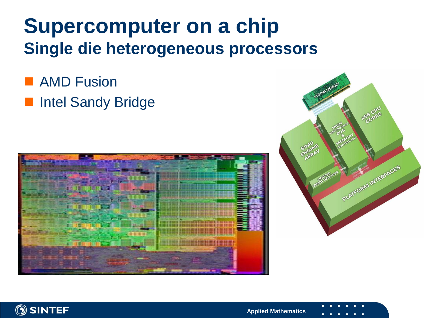#### **Supercomputer on a chip Single die heterogeneous processors**

**AMD Fusion Intel Sandy Bridge** 





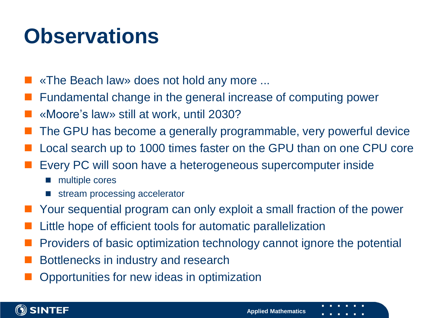### **Observations**

- «The Beach law» does not hold any more ...
- Fundamental change in the general increase of computing power
- «Moore's law» still at work, until 2030?
- The GPU has become a generally programmable, very powerful device
- Local search up to 1000 times faster on the GPU than on one CPU core
- Every PC will soon have a heterogeneous supercomputer inside
	- multiple cores
	- stream processing accelerator
- Your sequential program can only exploit a small fraction of the power
- Little hope of efficient tools for automatic parallelization
- Providers of basic optimization technology cannot ignore the potential
- Bottlenecks in industry and research
- Opportunities for new ideas in optimization

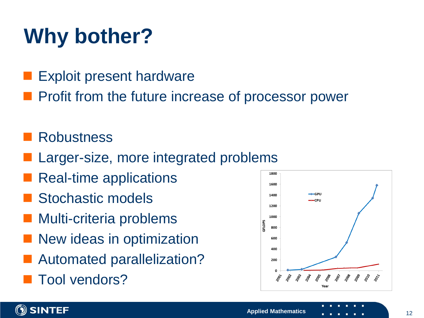# **Why bother?**

- Exploit present hardware
- Profit from the future increase of processor power

#### **Robustness**

- Larger-size, more integrated problems
- Real-time applications
- Stochastic models
- Multi-criteria problems
- New ideas in optimization
- Automated parallelization?
- Tool vendors?



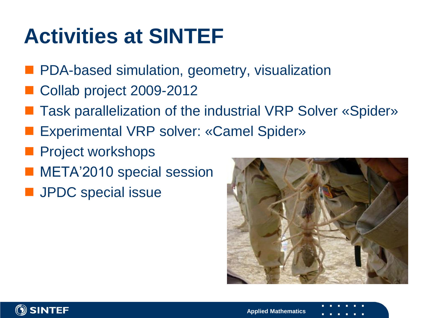# **Activities at SINTEF**

- **PDA-based simulation, geometry, visualization**
- Collab project 2009-2012
- Task parallelization of the industrial VRP Solver «Spider»
- Experimental VRP solver: «Camel Spider»
- Project workshops
- META'2010 special session
- **JPDC** special issue



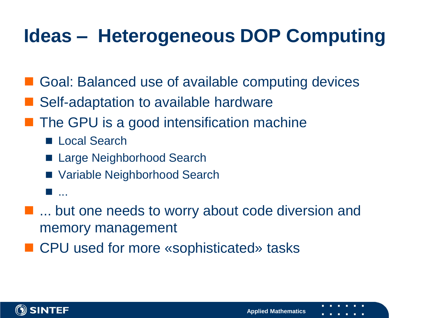#### **Ideas – Heterogeneous DOP Computing**

- Goal: Balanced use of available computing devices
- Self-adaptation to available hardware
- The GPU is a good intensification machine
	- Local Search
	- Large Neighborhood Search
	- Variable Neighborhood Search
	- ...<br>....
- **...** but one needs to worry about code diversion and memory management
- CPU used for more «sophisticated» tasks

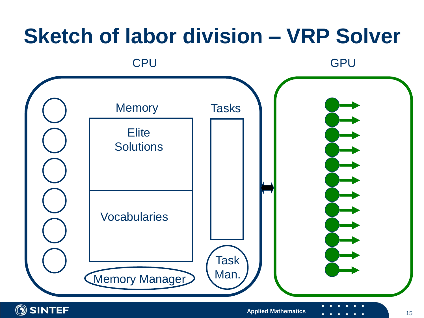# **Sketch of labor division – VRP Solver** CPU GPU GPU Tasks **Elite Solutions** Vocabularies **Memory** Task Memory Manager Man.